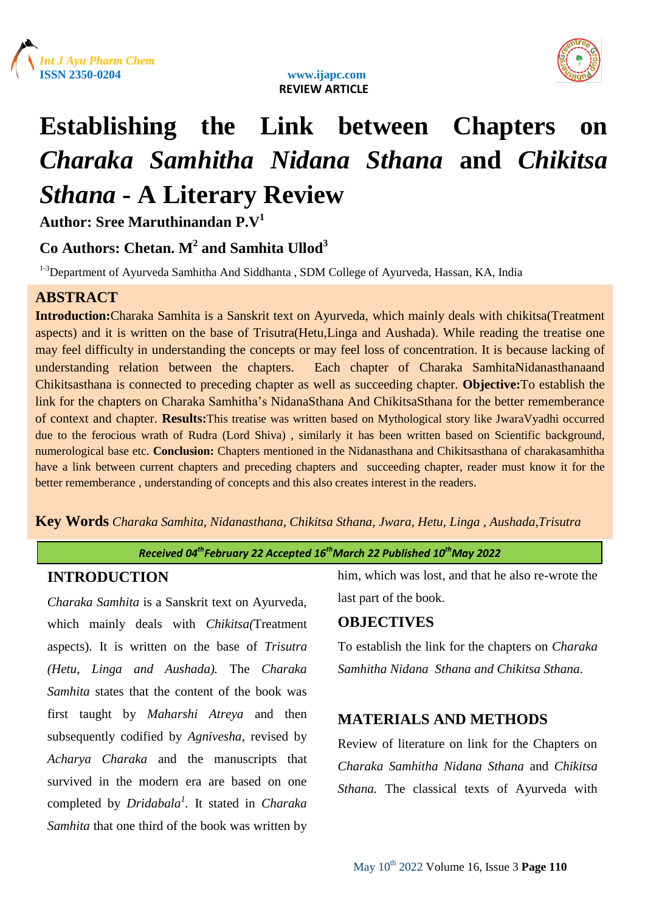





# **Establishing the Link between Chapters on**  *Charaka Samhitha Nidana Sthana* **and** *Chikitsa Sthana* **- A Literary Review**

**Author: Sree Maruthinandan P.V<sup>1</sup>**

## **Co Authors: Chetan. M<sup>2</sup> and Samhita Ullod<sup>3</sup>**

<sup>1-3</sup>Department of Ayurveda Samhitha And Siddhanta, SDM College of Ayurveda, Hassan, KA, India

## **ABSTRACT**

**Introduction:**Charaka Samhita is a Sanskrit text on Ayurveda, which mainly deals with chikitsa(Treatment aspects) and it is written on the base of Trisutra(Hetu,Linga and Aushada). While reading the treatise one may feel difficulty in understanding the concepts or may feel loss of concentration. It is because lacking of understanding relation between the chapters. Each chapter of Charaka SamhitaNidanasthanaand Chikitsasthana is connected to preceding chapter as well as succeeding chapter. **Objective:**To establish the link for the chapters on Charaka Samhitha"s NidanaSthana And ChikitsaSthana for the better rememberance of context and chapter. **Results:**This treatise was written based on Mythological story like JwaraVyadhi occurred due to the ferocious wrath of Rudra (Lord Shiva) , similarly it has been written based on Scientific background, numerological base etc. **Conclusion:** Chapters mentioned in the Nidanasthana and Chikitsasthana of charakasamhitha have a link between current chapters and preceding chapters and succeeding chapter, reader must know it for the better rememberance , understanding of concepts and this also creates interest in the readers.

**Key Words** *Charaka Samhita, Nidanasthana, Chikitsa Sthana, Jwara, Hetu, Linga , Aushada,Trisutra*

#### *Received 04thFebruary 22 Accepted 16 thMarch 22 Published 10thMay 2022*

#### **INTRODUCTION**

*Charaka Samhita* is a Sanskrit text on Ayurveda, which mainly deals with *Chikitsa(*Treatment aspects). It is written on the base of *Trisutra (Hetu, Linga and Aushada).* The *Charaka Samhita* states that the content of the book was first taught by *Maharshi Atreya* and then subsequently codified by *Agnivesha*, revised by *Acharya Charaka* and the manuscripts that survived in the modern era are based on one completed by *Dridabala<sup>1</sup> .* It stated in *Charaka Samhita* that one third of the book was written by

him, which was lost, and that he also re-wrote the last part of the book.

### **OBJECTIVES**

To establish the link for the chapters on *Charaka Samhitha Nidana Sthana and Chikitsa Sthana*.

## **MATERIALS AND METHODS**

Review of literature on link for the Chapters on *Charaka Samhitha Nidana Sthana* and *Chikitsa Sthana.* The classical texts of Ayurveda with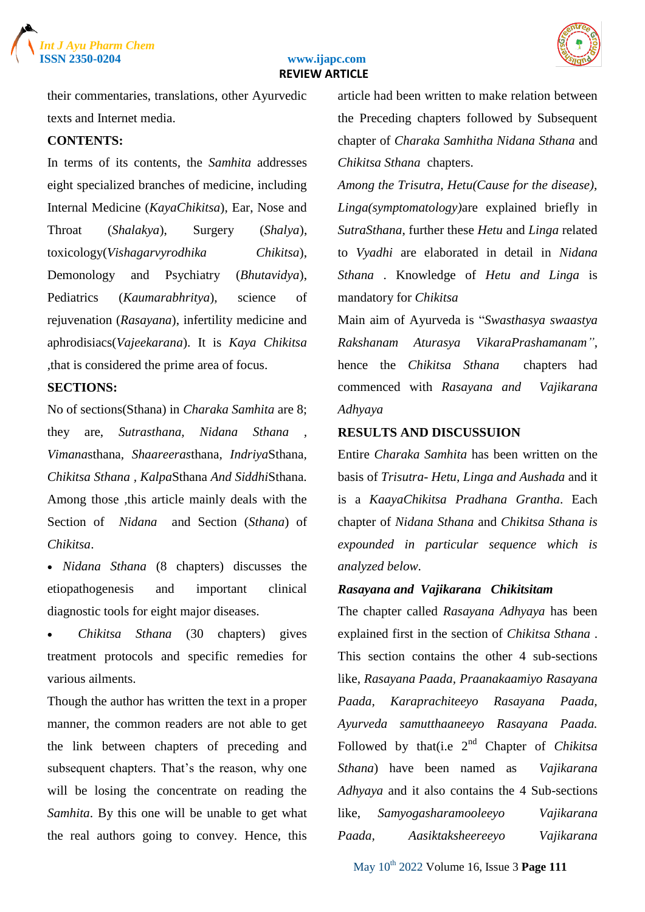





their commentaries, translations, other Ayurvedic texts and Internet media.

#### **CONTENTS:**

In terms of its contents, the *Samhita* addresses eight specialized branches of medicine, including Internal Medicine (*KayaChikitsa*), Ear, Nose and Throat (*Shalakya*), Surgery (*Shalya*), toxicology(*Vishagarvyrodhika Chikitsa*), Demonology and Psychiatry (*Bhutavidya*), Pediatrics (*Kaumarabhritya*), science of rejuvenation (*Rasayana*), infertility medicine and aphrodisiacs(*Vajeekarana*). It is *Kaya Chikitsa ,*that is considered the prime area of focus.

#### **SECTIONS:**

No of sections(Sthana) in *Charaka Samhita* are 8; they are, *Sutrasthana, Nidana Sthana , Vimana*sthana*, Shaareeras*thana*, Indriya*Sthana*, Chikitsa Sthana , Kalpa*Sthana *And Siddhi*Sthana. Among those ,this article mainly deals with the Section of *Nidana* and Section (*Sthana*) of *Chikitsa*.

 *[Nidana Sthana](about:blank)* (8 chapters) discusses the etiopathogenesis and important clinical diagnostic tools for eight major diseases.

 *[Chikitsa](about:blank) Sthana* (30 chapters) gives treatment protocols and specific remedies for various ailments.

Though the author has written the text in a proper manner, the common readers are not able to get the link between chapters of preceding and subsequent chapters. That's the reason, why one will be losing the concentrate on reading the *Samhita*. By this one will be unable to get what the real authors going to convey. Hence, this article had been written to make relation between the Preceding chapters followed by Subsequent chapter of *Charaka Samhitha Nidana Sthana* and *Chikitsa Sthana* chapters.

*Among the Trisutra, Hetu(Cause for the disease), Linga(symptomatology)*are explained briefly in *SutraSthana*, further these *Hetu* and *Linga* related to *Vyadhi* are elaborated in detail in *Nidana Sthana* . Knowledge of *Hetu and Linga* is mandatory for *Chikitsa*

Main aim of Ayurveda is "*Swasthasya swaastya Rakshanam Aturasya VikaraPrashamanam"*, hence the *Chikitsa Sthana* chapters had commenced with *Rasayana and Vajikarana Adhyaya*

#### **RESULTS AND DISCUSSUION**

Entire *Charaka Samhita* has been written on the basis of *Trisutra- Hetu, Linga and Aushada* and it is a *KaayaChikitsa Pradhana Grantha*. Each chapter of *Nidana Sthana* and *Chikitsa Sthana is expounded in particular sequence which is analyzed below.*

#### *Rasayana and Vajikarana Chikitsitam*

The chapter called *Rasayana Adhyaya* has been explained first in the section of *Chikitsa Sthana* . This section contains the other 4 sub-sections like, *Rasayana Paada, Praanakaamiyo Rasayana Paada, Karaprachiteeyo Rasayana Paada, Ayurveda samutthaaneeyo Rasayana Paada.* Followed by that(i.e 2nd Chapter of *Chikitsa Sthana*) have been named as *Vajikarana Adhyaya* and it also contains the 4 Sub-sections like, *Samyogasharamooleeyo Vajikarana Paada, Aasiktaksheereeyo Vajikarana*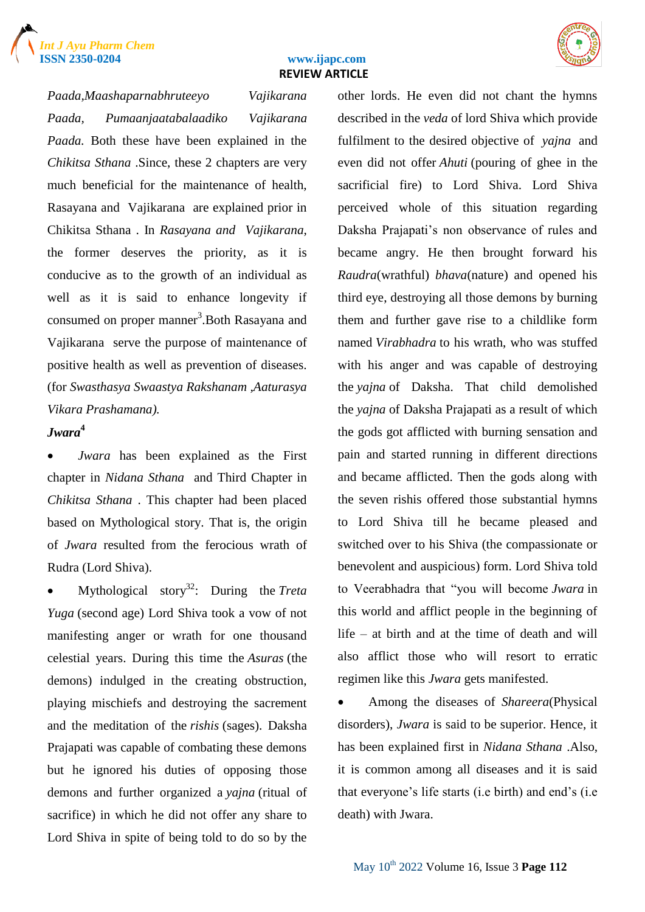



*Paada,Maashaparnabhruteeyo Vajikarana Paada, Pumaanjaatabalaadiko Vajikarana Paada.* Both these have been explained in the *Chikitsa Sthana* .Since, these 2 chapters are very much beneficial for the maintenance of health, Rasayana and Vajikarana are explained prior in Chikitsa Sthana . In *Rasayana and Vajikarana*, the former deserves the priority, as it is conducive as to the growth of an individual as well as it is said to enhance longevity if consumed on proper manner<sup>3</sup>. Both Rasayana and Vajikarana serve the purpose of maintenance of positive health as well as prevention of diseases. (for *Swasthasya Swaastya Rakshanam ,Aaturasya Vikara Prashamana).*

#### *Jwara***<sup>4</sup>**

 *Jwara* has been explained as the First chapter in *Nidana Sthana* and Third Chapter in *Chikitsa Sthana* . This chapter had been placed based on Mythological story. That is, the origin of *Jwara* resulted from the ferocious wrath of Rudra (Lord Shiva).

 Mythological story<sup>32</sup>: During the *Treta Yuga* (second age) Lord Shiva took a vow of not manifesting anger or wrath for one thousand celestial years. During this time the *Asuras* (the demons) indulged in the creating obstruction, playing mischiefs and destroying the sacrement and the meditation of the *rishis* (sages). Daksha Prajapati was capable of combating these demons but he ignored his duties of opposing those demons and further organized a *yajna* (ritual of sacrifice) in which he did not offer any share to Lord Shiva in spite of being told to do so by the other lords. He even did not chant the hymns described in the *veda* of lord Shiva which provide fulfilment to the desired objective of *yajna* and even did not offer *Ahuti* (pouring of ghee in the sacrificial fire) to Lord Shiva. Lord Shiva perceived whole of this situation regarding Daksha Prajapati's non observance of rules and became angry. He then brought forward his *Raudra*(wrathful) *bhava*(nature) and opened his third eye, destroying all those demons by burning them and further gave rise to a childlike form named *Virabhadra* to his wrath, who was stuffed with his anger and was capable of destroying the *yajna* of Daksha. That child demolished the *yajna* of Daksha Prajapati as a result of which the gods got afflicted with burning sensation and pain and started running in different directions and became afflicted. Then the gods along with the seven rishis offered those substantial hymns to Lord Shiva till he became pleased and switched over to his Shiva (the compassionate or benevolent and auspicious) form. Lord Shiva told to Veerabhadra that "you will become *Jwara* in this world and afflict people in the beginning of life – at birth and at the time of death and will also afflict those who will resort to erratic regimen like this *Jwara* gets manifested.

 Among the diseases of *Shareera*(Physical disorders), *Jwara* is said to be superior. Hence, it has been explained first in *Nidana Sthana* .Also, it is common among all diseases and it is said that everyone"s life starts (i.e birth) and end"s (i.e death) with Jwara.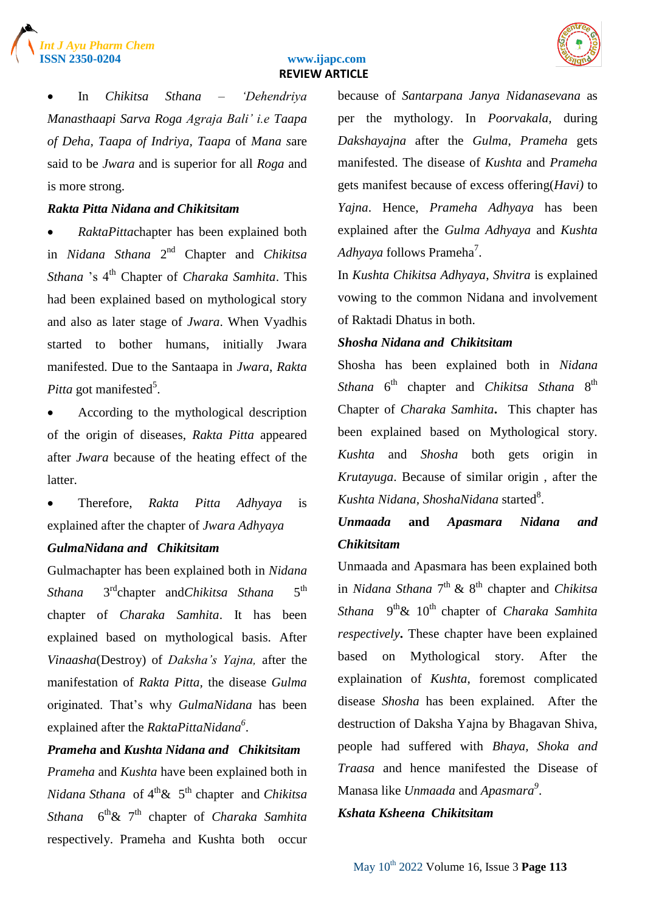



 In *Chikitsa Sthana* – *'Dehendriya Manasthaapi Sarva Roga Agraja Bali' i.e Taapa of Deha, Taapa of Indriya, Taapa* of *Mana s*are said to be *Jwara* and is superior for all *Roga* and is more strong.

#### *Rakta Pitta Nidana and Chikitsitam*

 *RaktaPitta*chapter has been explained both in *Nidana Sthana* 2<sup>nd</sup> Chapter and *Chikitsa Sthana* "s 4th Chapter of *Charaka Samhita*. This had been explained based on mythological story and also as later stage of *Jwara*. When Vyadhis started to bother humans, initially Jwara manifested. Due to the Santaapa in *Jwara*, *Rakta* Pitta got manifested<sup>5</sup>.

 According to the mythological description of the origin of diseases, *Rakta Pitta* appeared after *Jwara* because of the heating effect of the latter.

 Therefore, *Rakta Pitta Adhyaya* is explained after the chapter of *Jwara Adhyaya GulmaNidana and Chikitsitam*

Gulmachapter has been explained both in *Nidana Sthana* 3 3<sup>rd</sup>chapter and*Chikitsa Sthana*  $5^{\text{th}}$ chapter of *Charaka Samhita*. It has been explained based on mythological basis. After *Vinaasha*(Destroy) of *Daksha's Yajna,* after the manifestation of *Rakta Pitta,* the disease *Gulma* originated. That"s why *GulmaNidana* has been explained after the *RaktaPittaNidana<sup>6</sup>* .

*Prameha* **and** *Kushta Nidana and Chikitsitam Prameha* and *Kushta* have been explained both in *Nidana Sthana* of  $4^{th}$ & 5<sup>th</sup> chapter and *Chikitsa Sthana* 6 th& 7th chapter of *Charaka Samhita* respectively. Prameha and Kushta both occur because of *Santarpana Janya Nidanasevana* as per the mythology. In *Poorvakala,* during *Dakshayajna* after the *Gulma*, *Prameha* gets manifested. The disease of *Kushta* and *Prameha* gets manifest because of excess offering(*Havi)* to *Yajna*. Hence, *Prameha Adhyaya* has been explained after the *Gulma Adhyaya* and *Kushta*  A*dhyaya* follows Prameha<sup>7</sup>.

In *Kushta Chikitsa Adhyaya*, *Shvitra* is explained vowing to the common Nidana and involvement of Raktadi Dhatus in both.

#### *Shosha Nidana and Chikitsitam*

Shosha has been explained both in *Nidana*  Sthana 6<sup>th</sup> chapter and *Chikitsa Sthana* 8<sup>th</sup> Chapter of *Charaka Samhita***.** This chapter has been explained based on Mythological story. *Kushta* and *Shosha* both gets origin in *Krutayuga*. Because of similar origin , after the Kushta Nidana, ShoshaNidana started<sup>8</sup>.

## *Unmaada* **and** *Apasmara Nidana and Chikitsitam*

Unmaada and Apasmara has been explained both in *Nidana Sthana* 7<sup>th</sup> & 8<sup>th</sup> chapter and *Chikitsa* Sthana 9<sup>th</sup>& 10<sup>th</sup> chapter of *Charaka Samhita respectively***.** These chapter have been explained based on Mythological story. After the explaination of *Kushta*, foremost complicated disease *Shosha* has been explained. After the destruction of Daksha Yajna by Bhagavan Shiva, people had suffered with *Bhaya, Shoka and Traasa* and hence manifested the Disease of Manasa like *Unmaada* and *Apasmara<sup>9</sup>* .

#### *Kshata Ksheena Chikitsitam*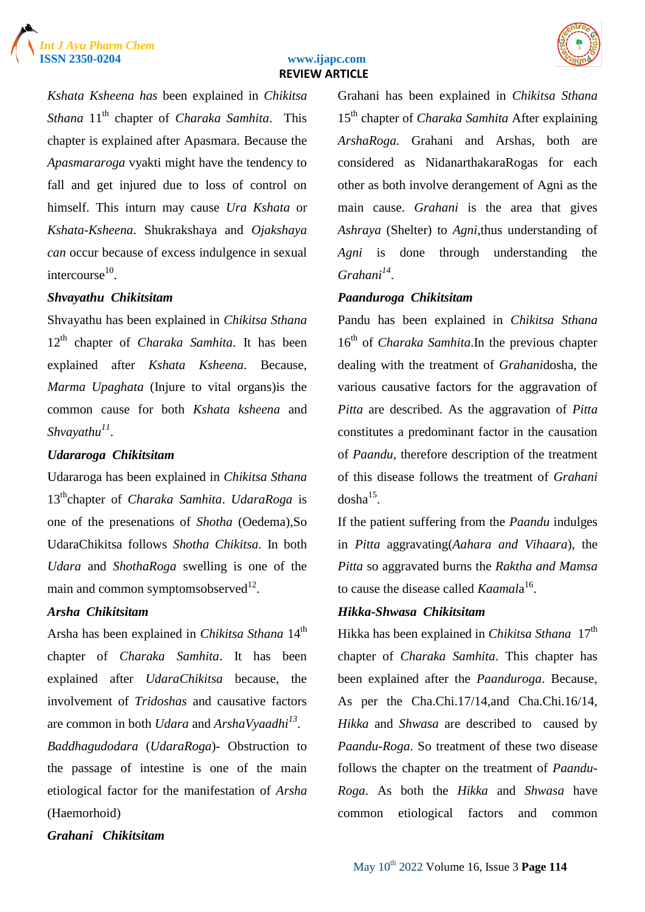



*Kshata Ksheena has* been explained in *Chikitsa Sthana* 11th chapter of *Charaka Samhita*. This chapter is explained after Apasmara. Because the *Apasmararoga* vyakti might have the tendency to fall and get injured due to loss of control on himself. This inturn may cause *Ura Kshata* or *Kshata*-*Ksheena*. Shukrakshaya and *Ojakshaya can* occur because of excess indulgence in sexual intercourse $^{10}$ .

#### *Shvayathu Chikitsitam*

Shvayathu has been explained in *Chikitsa Sthana*  12th chapter of *Charaka Samhita*. It has been explained after *Kshata Ksheena*. Because, *Marma Upaghata* (Injure to vital organs)is the common cause for both *Kshata ksheena* and *Shvayathu<sup>11</sup>* .

#### *Udararoga Chikitsitam*

Udararoga has been explained in *Chikitsa Sthana*  13<sup>th</sup>chapter of *Charaka Samhita*. *UdaraRoga* is one of the presenations of *Shotha* (Oedema),So UdaraChikitsa follows *Shotha Chikitsa*. In both *Udara* and *ShothaRoga* swelling is one of the main and common symptomsobserved $^{12}$ .

#### *Arsha Chikitsitam*

Arsha has been explained in *Chikitsa Sthana* 14<sup>th</sup> chapter of *Charaka Samhita*. It has been explained after *UdaraChikitsa* because, the involvement of *Tridoshas* and causative factors are common in both *Udara* and *ArshaVyaadhi<sup>13</sup>* .

*Baddhagudodara* (*UdaraRoga*)- Obstruction to the passage of intestine is one of the main etiological factor for the manifestation of *Arsha* (Haemorhoid)

Grahani has been explained in *Chikitsa Sthana*  15th chapter of *Charaka Samhita* After explaining *ArshaRoga*. Grahani and Arshas, both are considered as NidanarthakaraRogas for each other as both involve derangement of Agni as the main cause. *Grahani* is the area that gives *Ashraya* (Shelter) to *Agni*,thus understanding of *Agni* is done through understanding the *Grahani<sup>14</sup>* .

#### *Paanduroga Chikitsitam*

Pandu has been explained in *Chikitsa Sthana*  16th of *Charaka Samhita*.In the previous chapter dealing with the treatment of *Grahani*dosha, the various causative factors for the aggravation of *Pitta* are described. As the aggravation of *Pitta* constitutes a predominant factor in the causation of *Paandu*, therefore description of the treatment of this disease follows the treatment of *Grahani*  $dosha^{15}$ .

If the patient suffering from the *Paandu* indulges in *Pitta* aggravating(*Aahara and Vihaara*), the *Pitta* so aggravated burns the *Raktha and Mamsa* to cause the disease called *Kaamal*a 16 .

#### *Hikka-Shwasa Chikitsitam*

Hikka has been explained in *Chikitsa Sthana* 17<sup>th</sup> chapter of *Charaka Samhita*. This chapter has been explained after the *Paanduroga*. Because, As per the Cha.Chi.17/14,and Cha.Chi.16/14, *Hikka* and *Shwasa* are described to caused by *Paandu*-*Roga*. So treatment of these two disease follows the chapter on the treatment of *Paandu*-*Roga*. As both the *Hikka* and *Shwasa* have common etiological factors and common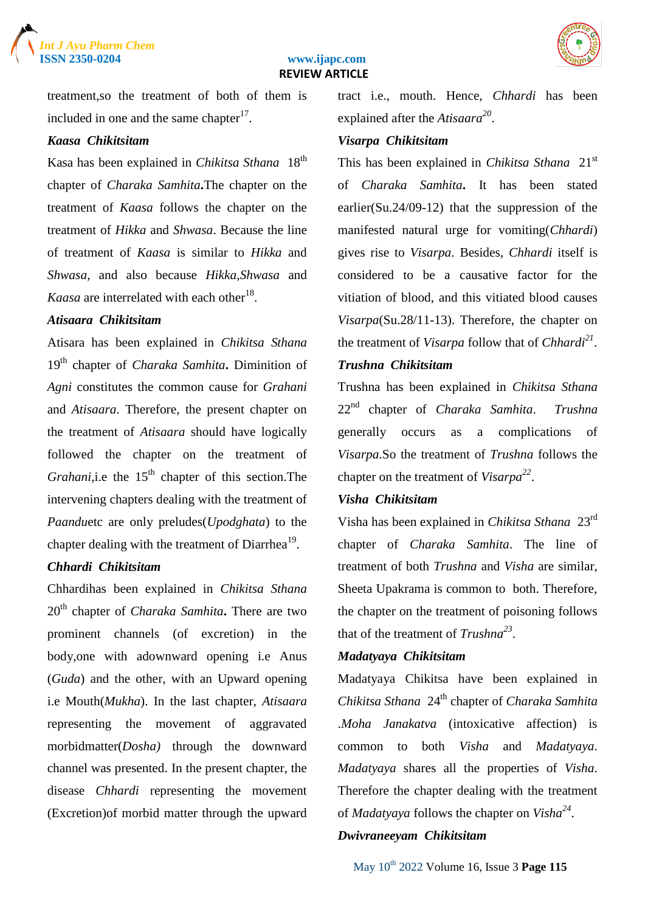





treatment,so the treatment of both of them is included in one and the same chapter $17$ .

#### *Kaasa Chikitsitam*

Kasa has been explained in *Chikitsa Sthana* 18<sup>th</sup> chapter of *Charaka Samhita***.**The chapter on the treatment of *Kaasa* follows the chapter on the treatment of *Hikka* and *Shwasa*. Because the line of treatment of *Kaasa* is similar to *Hikka* and *Shwasa*, and also because *Hikka*,*Shwasa* and *Kaasa* are interrelated with each other<sup>18</sup>.

#### *Atisaara Chikitsitam*

Atisara has been explained in *Chikitsa Sthana*  19th chapter of *Charaka Samhita***.** Diminition of *Agni* constitutes the common cause for *Grahani* and *Atisaara*. Therefore, the present chapter on the treatment of *Atisaara* should have logically followed the chapter on the treatment of *Grahani*, i.e the 15<sup>th</sup> chapter of this section. The intervening chapters dealing with the treatment of *Paandu*etc are only preludes(*Upodghata*) to the chapter dealing with the treatment of Diarrhea $^{19}$ .

#### *Chhardi Chikitsitam*

Chhardihas been explained in *Chikitsa Sthana*  20th chapter of *Charaka Samhita***.** There are two prominent channels (of excretion) in the body,one with adownward opening i.e Anus (*Guda*) and the other, with an Upward opening i.e Mouth(*Mukha*). In the last chapter, *Atisaara* representing the movement of aggravated morbidmatter(*Dosha)* through the downward channel was presented. In the present chapter, the disease *Chhardi* representing the movement (Excretion)of morbid matter through the upward

tract i.e., mouth. Hence, *Chhardi* has been explained after the *Atisaara<sup>20</sup>* .

#### *Visarpa Chikitsitam*

This has been explained in *Chikitsa Sthana* 21st of *Charaka Samhita***.** It has been stated earlier(Su.24/09-12) that the suppression of the manifested natural urge for vomiting(*Chhardi*) gives rise to *Visarpa*. Besides, *Chhardi* itself is considered to be a causative factor for the vitiation of blood, and this vitiated blood causes *Visarpa*(Su.28/11-13). Therefore, the chapter on the treatment of *Visarpa* follow that of *Chhardi<sup>21</sup>* .

#### *Trushna Chikitsitam*

Trushna has been explained in *Chikitsa Sthana*  22nd chapter of *Charaka Samhita*. *Trushna* generally occurs as a complications of *Visarpa*.So the treatment of *Trushna* follows the chapter on the treatment of *Visarpa<sup>22</sup>* .

#### *Visha Chikitsitam*

Visha has been explained in *Chikitsa Sthana* 23rd chapter of *Charaka Samhita*. The line of treatment of both *Trushna* and *Visha* are similar, Sheeta Upakrama is common to both. Therefore, the chapter on the treatment of poisoning follows that of the treatment of *Trushna<sup>23</sup>* .

#### *Madatyaya Chikitsitam*

Madatyaya Chikitsa have been explained in *Chikitsa Sthana* 24th chapter of *Charaka Samhita* .*Moha Janakatva* (intoxicative affection) is common to both *Visha* and *Madatyaya*. *Madatyaya* shares all the properties of *Visha*. Therefore the chapter dealing with the treatment of *Madatyaya* follows the chapter on *Visha<sup>24</sup>* .

#### *Dwivraneeyam Chikitsitam*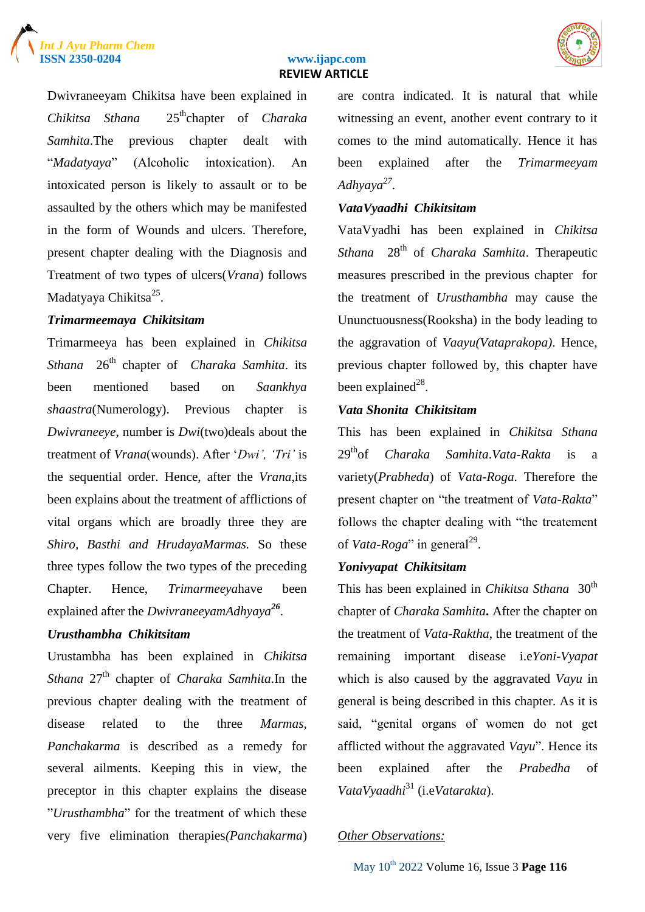





Dwivraneeyam Chikitsa have been explained in *Chikitsa Sthana* 25<sup>th</sup>chapter of *Charaka Samhita*.The previous chapter dealt with "*Madatyaya*" (Alcoholic intoxication). An intoxicated person is likely to assault or to be assaulted by the others which may be manifested in the form of Wounds and ulcers. Therefore, present chapter dealing with the Diagnosis and Treatment of two types of ulcers(*Vrana*) follows Madatyaya Chikitsa<sup>25</sup>.

#### *Trimarmeemaya Chikitsitam*

Trimarmeeya has been explained in *Chikitsa Sthana* 26th chapter of *Charaka Samhita*. its been mentioned based on *Saankhya shaastra*(Numerology). Previous chapter is *Dwivraneeye*, number is *Dwi*(two)deals about the treatment of *Vrana*(wounds). After "*Dwi', 'Tri'* is the sequential order. Hence, after the *Vrana*,its been explains about the treatment of afflictions of vital organs which are broadly three they are *Shiro, Basthi and HrudayaMarmas.* So these three types follow the two types of the preceding Chapter. Hence, *Trimarmeeya*have been explained after the *DwivraneeyamAdhyaya<sup>26</sup>* .

#### *Urusthambha Chikitsitam*

Urustambha has been explained in *Chikitsa Sthana* 27th chapter of *Charaka Samhita*.In the previous chapter dealing with the treatment of disease related to the three *Marmas*, *Panchakarma* is described as a remedy for several ailments. Keeping this in view, the preceptor in this chapter explains the disease "*Urusthambha*" for the treatment of which these very five elimination therapies*(Panchakarma*) are contra indicated. It is natural that while witnessing an event, another event contrary to it comes to the mind automatically. Hence it has been explained after the *Trimarmeeyam Adhyaya<sup>27</sup>* .

#### *VataVyaadhi Chikitsitam*

VataVyadhi has been explained in *Chikitsa Sthana* 28th of *Charaka Samhita*. Therapeutic measures prescribed in the previous chapter for the treatment of *Urusthambha* may cause the Ununctuousness(Rooksha) in the body leading to the aggravation of *Vaayu(Vataprakopa)*. Hence, previous chapter followed by, this chapter have been explained<sup>28</sup>.

#### *Vata Shonita Chikitsitam*

This has been explained in *Chikitsa Sthana*  29thof *Charaka Samhita*.*Vata-Rakta* is a variety(*Prabheda*) of *Vata-Roga*. Therefore the present chapter on "the treatment of *Vata-Rakta*" follows the chapter dealing with "the treatement of *Vata-Roga*" in general<sup>29</sup>.

#### *Yonivyapat Chikitsitam*

This has been explained in *Chikitsa Sthana* 30<sup>th</sup> chapter of *Charaka Samhita***.** After the chapter on the treatment of *Vata*-*Raktha*, the treatment of the remaining important disease i.e*Yoni-Vyapat* which is also caused by the aggravated *Vayu* in general is being described in this chapter. As it is said, "genital organs of women do not get afflicted without the aggravated *Vayu*". Hence its been explained after the *Prabedha* of *VataVyaadhi*<sup>31</sup> (i.e*Vatarakta*).

#### *Other Observations:*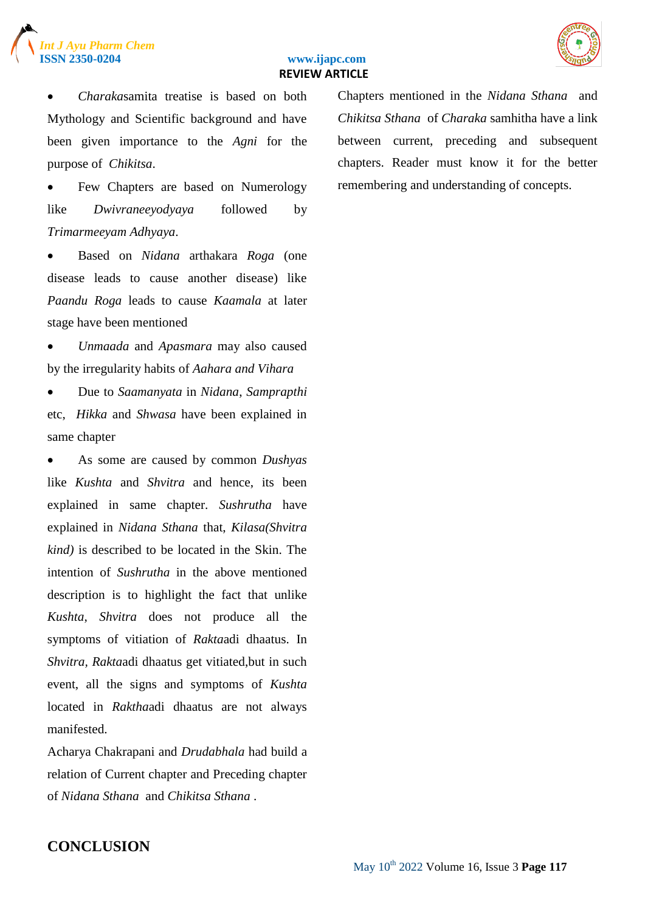



 *Charaka*samita treatise is based on both Mythology and Scientific background and have been given importance to the *Agni* for the purpose of *Chikitsa*.

 Few Chapters are based on Numerology like *Dwivraneeyodyaya* followed by *Trimarmeeyam Adhyaya*.

 Based on *Nidana* arthakara *Roga* (one disease leads to cause another disease) like *Paandu Roga* leads to cause *Kaamala* at later stage have been mentioned

 *Unmaada* and *Apasmara* may also caused by the irregularity habits of *Aahara and Vihara*

 Due to *Saamanyata* in *Nidana*, *Samprapthi* etc, *Hikka* and *Shwasa* have been explained in same chapter

 As some are caused by common *Dushyas* like *Kushta* and *Shvitra* and hence, its been explained in same chapter. *Sushrutha* have explained in *Nidana Sthana* that, *Kilasa(Shvitra kind)* is described to be located in the Skin. The intention of *Sushrutha* in the above mentioned description is to highlight the fact that unlike *Kushta*, *Shvitra* does not produce all the symptoms of vitiation of *Rakta*adi dhaatus. In *Shvitra, Rakta*adi dhaatus get vitiated,but in such event, all the signs and symptoms of *Kushta* located in *Raktha*adi dhaatus are not always manifested.

Acharya Chakrapani and *Drudabhala* had build a relation of Current chapter and Preceding chapter of *Nidana Sthana* and *Chikitsa Sthana* .

Chapters mentioned in the *Nidana Sthana* and *Chikitsa Sthana* of *Charaka* samhitha have a link between current, preceding and subsequent chapters. Reader must know it for the better remembering and understanding of concepts.

## **CONCLUSION**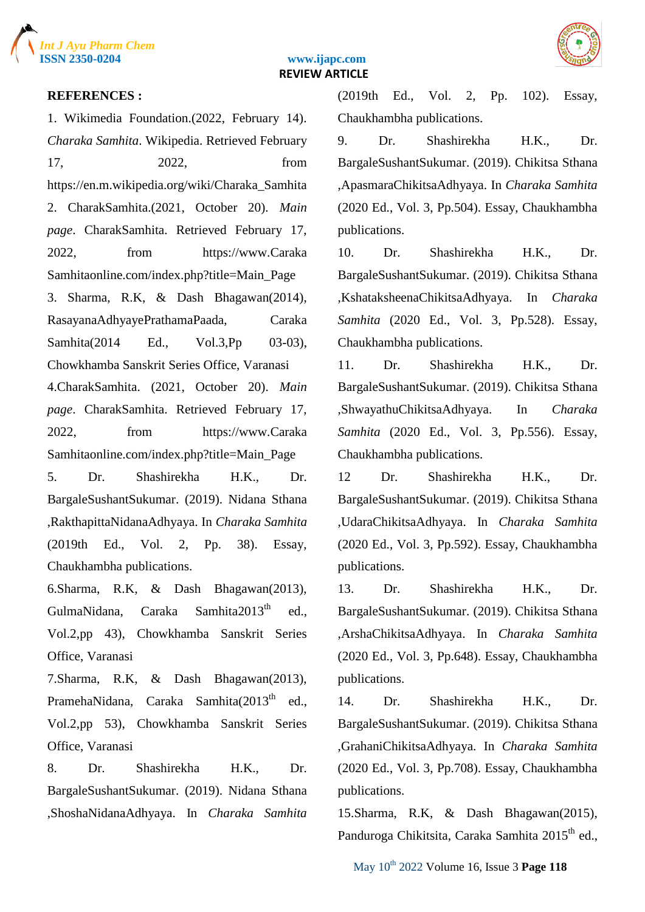



#### **REFERENCES :**

1. Wikimedia Foundation.(2022, February 14). *Charaka Samhita*. Wikipedia. Retrieved February 17, 2022, from https://en.m.wikipedia.org/wiki/Charaka\_Samhita 2. CharakSamhita.(2021, October 20). *Main page*. CharakSamhita. Retrieved February 17, 2022, from https://www.Caraka Samhitaonline.com/index.php?title=Main\_Page 3. Sharma, R.K, & Dash Bhagawan(2014), RasayanaAdhyayePrathamaPaada, Caraka Samhita(2014 Ed., Vol.3, Pp 03-03), Chowkhamba Sanskrit Series Office, Varanasi 4.CharakSamhita. (2021, October 20). *Main page*. CharakSamhita. Retrieved February 17, 2022, from https://www.Caraka Samhitaonline.com/index.php?title=Main\_Page 5. Dr. Shashirekha H.K., Dr. BargaleSushantSukumar. (2019). Nidana Sthana ,RakthapittaNidanaAdhyaya. In *Charaka Samhita* (2019th Ed., Vol. 2, Pp. 38). Essay, Chaukhambha publications.

6.Sharma, R.K, & Dash Bhagawan(2013), GulmaNidana, Caraka Samhita $2013<sup>th</sup>$  ed., Vol.2,pp 43), Chowkhamba Sanskrit Series Office, Varanasi

7.Sharma, R.K, & Dash Bhagawan(2013), PramehaNidana, Caraka Samhita(2013<sup>th</sup> ed., Vol.2,pp 53), Chowkhamba Sanskrit Series Office, Varanasi

8. Dr. Shashirekha H.K., Dr. BargaleSushantSukumar. (2019). Nidana Sthana ,ShoshaNidanaAdhyaya. In *Charaka Samhita* (2019th Ed., Vol. 2, Pp. 102). Essay, Chaukhambha publications.

9. Dr. Shashirekha H.K., Dr. BargaleSushantSukumar. (2019). Chikitsa Sthana ,ApasmaraChikitsaAdhyaya. In *Charaka Samhita* (2020 Ed., Vol. 3, Pp.504). Essay, Chaukhambha publications.

10. Dr. Shashirekha H.K., Dr. BargaleSushantSukumar. (2019). Chikitsa Sthana ,KshataksheenaChikitsaAdhyaya. In *Charaka Samhita* (2020 Ed., Vol. 3, Pp.528). Essay, Chaukhambha publications.

11. Dr. Shashirekha H.K., Dr. BargaleSushantSukumar. (2019). Chikitsa Sthana ,ShwayathuChikitsaAdhyaya. In *Charaka Samhita* (2020 Ed., Vol. 3, Pp.556). Essay, Chaukhambha publications.

12 Dr. Shashirekha H.K., Dr. BargaleSushantSukumar. (2019). Chikitsa Sthana ,UdaraChikitsaAdhyaya. In *Charaka Samhita* (2020 Ed., Vol. 3, Pp.592). Essay, Chaukhambha publications.

13. Dr. Shashirekha H.K., Dr. BargaleSushantSukumar. (2019). Chikitsa Sthana ,ArshaChikitsaAdhyaya. In *Charaka Samhita* (2020 Ed., Vol. 3, Pp.648). Essay, Chaukhambha publications.

14. Dr. Shashirekha H.K., Dr. BargaleSushantSukumar. (2019). Chikitsa Sthana ,GrahaniChikitsaAdhyaya. In *Charaka Samhita* (2020 Ed., Vol. 3, Pp.708). Essay, Chaukhambha publications.

15.Sharma, R.K, & Dash Bhagawan(2015), Panduroga Chikitsita, Caraka Samhita 2015<sup>th</sup> ed.,

May 10th 2022 Volume 16, Issue 3 **Page 118**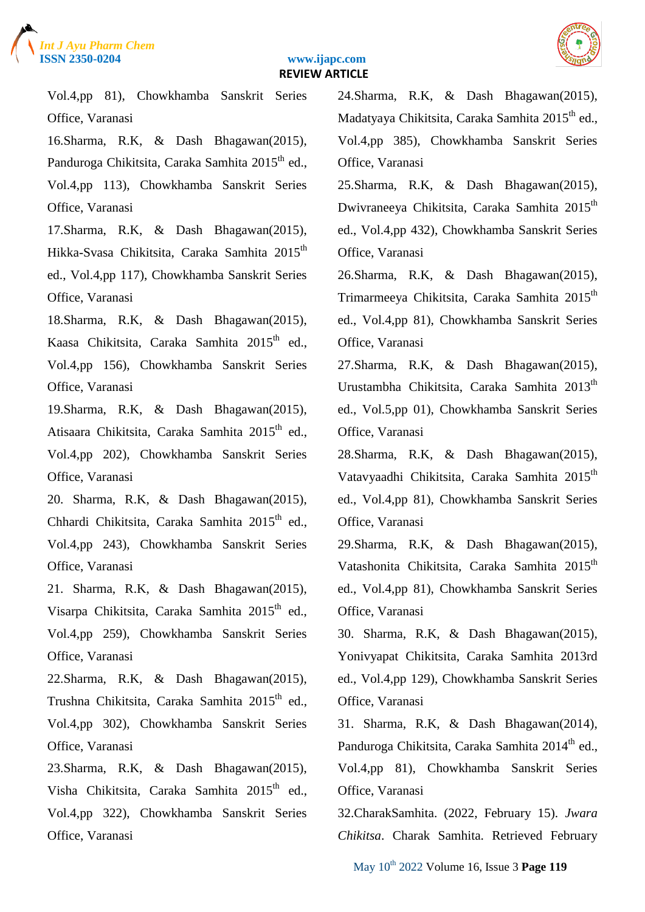



Vol.4,pp 81), Chowkhamba Sanskrit Series Office, Varanasi

16.Sharma, R.K, & Dash Bhagawan(2015), Panduroga Chikitsita, Caraka Samhita 2015<sup>th</sup> ed., Vol.4,pp 113), Chowkhamba Sanskrit Series Office, Varanasi

17.Sharma, R.K, & Dash Bhagawan(2015), Hikka-Svasa Chikitsita, Caraka Samhita 2015<sup>th</sup> ed., Vol.4,pp 117), Chowkhamba Sanskrit Series Office, Varanasi

18.Sharma, R.K, & Dash Bhagawan(2015), Kaasa Chikitsita, Caraka Samhita  $2015<sup>th</sup>$  ed., Vol.4,pp 156), Chowkhamba Sanskrit Series Office, Varanasi

19.Sharma, R.K, & Dash Bhagawan(2015), Atisaara Chikitsita, Caraka Samhita 2015<sup>th</sup> ed., Vol.4,pp 202), Chowkhamba Sanskrit Series Office, Varanasi

20. Sharma, R.K, & Dash Bhagawan(2015), Chhardi Chikitsita, Caraka Samhita 2015<sup>th</sup> ed., Vol.4,pp 243), Chowkhamba Sanskrit Series Office, Varanasi

21. Sharma, R.K, & Dash Bhagawan(2015), Visarpa Chikitsita, Caraka Samhita 2015<sup>th</sup> ed., Vol.4,pp 259), Chowkhamba Sanskrit Series Office, Varanasi

22.Sharma, R.K, & Dash Bhagawan(2015), Trushna Chikitsita, Caraka Samhita 2015<sup>th</sup> ed., Vol.4,pp 302), Chowkhamba Sanskrit Series Office, Varanasi

23.Sharma, R.K, & Dash Bhagawan(2015), Visha Chikitsita, Caraka Samhita 2015<sup>th</sup> ed., Vol.4,pp 322), Chowkhamba Sanskrit Series Office, Varanasi

24.Sharma, R.K, & Dash Bhagawan(2015), Madatyaya Chikitsita, Caraka Samhita 2015<sup>th</sup> ed., Vol.4,pp 385), Chowkhamba Sanskrit Series Office, Varanasi

25.Sharma, R.K, & Dash Bhagawan(2015), Dwivraneeya Chikitsita, Caraka Samhita 2015<sup>th</sup> ed., Vol.4,pp 432), Chowkhamba Sanskrit Series Office, Varanasi

26.Sharma, R.K, & Dash Bhagawan(2015), Trimarmeeya Chikitsita, Caraka Samhita 2015<sup>th</sup> ed., Vol.4,pp 81), Chowkhamba Sanskrit Series Office, Varanasi

27.Sharma, R.K, & Dash Bhagawan(2015), Urustambha Chikitsita, Caraka Samhita 2013<sup>th</sup> ed., Vol.5,pp 01), Chowkhamba Sanskrit Series Office, Varanasi

28.Sharma, R.K, & Dash Bhagawan(2015), Vatavyaadhi Chikitsita, Caraka Samhita 2015<sup>th</sup> ed., Vol.4,pp 81), Chowkhamba Sanskrit Series Office, Varanasi

29.Sharma, R.K, & Dash Bhagawan(2015), Vatashonita Chikitsita, Caraka Samhita 2015<sup>th</sup> ed., Vol.4,pp 81), Chowkhamba Sanskrit Series Office, Varanasi

30. Sharma, R.K, & Dash Bhagawan(2015), Yonivyapat Chikitsita, Caraka Samhita 2013rd ed., Vol.4,pp 129), Chowkhamba Sanskrit Series Office, Varanasi

31. Sharma, R.K, & Dash Bhagawan(2014), Panduroga Chikitsita, Caraka Samhita 2014<sup>th</sup> ed., Vol.4,pp 81), Chowkhamba Sanskrit Series Office, Varanasi

32.CharakSamhita. (2022, February 15). *Jwara Chikitsa*. Charak Samhita. Retrieved February

May 10th 2022 Volume 16, Issue 3 **Page 119**